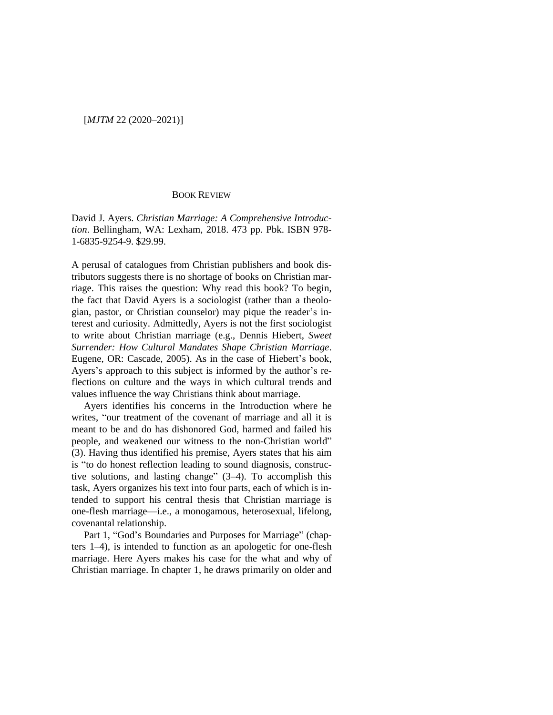## BOOK REVIEW

David J. Ayers. *Christian Marriage: A Comprehensive Introduction*. Bellingham, WA: Lexham, 2018. 473 pp. Pbk. ISBN 978- 1-6835-9254-9. \$29.99.

A perusal of catalogues from Christian publishers and book distributors suggests there is no shortage of books on Christian marriage. This raises the question: Why read this book? To begin, the fact that David Ayers is a sociologist (rather than a theologian, pastor, or Christian counselor) may pique the reader's interest and curiosity. Admittedly, Ayers is not the first sociologist to write about Christian marriage (e.g., Dennis Hiebert, *Sweet Surrender: How Cultural Mandates Shape Christian Marriage*. Eugene, OR: Cascade, 2005). As in the case of Hiebert's book, Ayers's approach to this subject is informed by the author's reflections on culture and the ways in which cultural trends and values influence the way Christians think about marriage.

Ayers identifies his concerns in the Introduction where he writes, "our treatment of the covenant of marriage and all it is meant to be and do has dishonored God, harmed and failed his people, and weakened our witness to the non-Christian world" (3). Having thus identified his premise, Ayers states that his aim is "to do honest reflection leading to sound diagnosis, constructive solutions, and lasting change" (3–4). To accomplish this task, Ayers organizes his text into four parts, each of which is intended to support his central thesis that Christian marriage is one-flesh marriage—i.e., a monogamous, heterosexual, lifelong, covenantal relationship.

Part 1, "God's Boundaries and Purposes for Marriage" (chapters 1–4), is intended to function as an apologetic for one-flesh marriage. Here Ayers makes his case for the what and why of Christian marriage. In chapter 1, he draws primarily on older and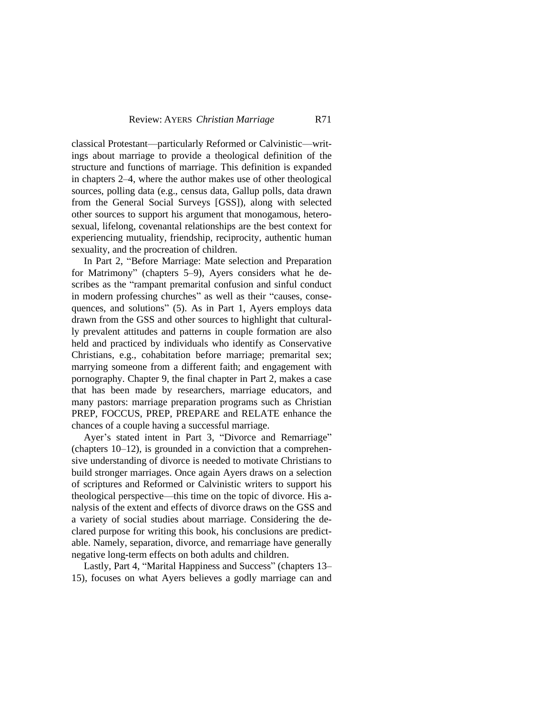classical Protestant—particularly Reformed or Calvinistic—writings about marriage to provide a theological definition of the structure and functions of marriage. This definition is expanded in chapters 2–4, where the author makes use of other theological sources, polling data (e.g., census data, Gallup polls, data drawn from the General Social Surveys [GSS]), along with selected other sources to support his argument that monogamous, heterosexual, lifelong, covenantal relationships are the best context for experiencing mutuality, friendship, reciprocity, authentic human sexuality, and the procreation of children.

In Part 2, "Before Marriage: Mate selection and Preparation for Matrimony" (chapters 5–9), Ayers considers what he describes as the "rampant premarital confusion and sinful conduct in modern professing churches" as well as their "causes, consequences, and solutions" (5). As in Part 1, Ayers employs data drawn from the GSS and other sources to highlight that culturally prevalent attitudes and patterns in couple formation are also held and practiced by individuals who identify as Conservative Christians, e.g., cohabitation before marriage; premarital sex; marrying someone from a different faith; and engagement with pornography. Chapter 9, the final chapter in Part 2, makes a case that has been made by researchers, marriage educators, and many pastors: marriage preparation programs such as Christian PREP, FOCCUS, PREP, PREPARE and RELATE enhance the chances of a couple having a successful marriage.

Ayer's stated intent in Part 3, "Divorce and Remarriage" (chapters 10–12), is grounded in a conviction that a comprehensive understanding of divorce is needed to motivate Christians to build stronger marriages. Once again Ayers draws on a selection of scriptures and Reformed or Calvinistic writers to support his theological perspective—this time on the topic of divorce. His analysis of the extent and effects of divorce draws on the GSS and a variety of social studies about marriage. Considering the declared purpose for writing this book, his conclusions are predictable. Namely, separation, divorce, and remarriage have generally negative long-term effects on both adults and children.

Lastly, Part 4, "Marital Happiness and Success" (chapters 13– 15), focuses on what Ayers believes a godly marriage can and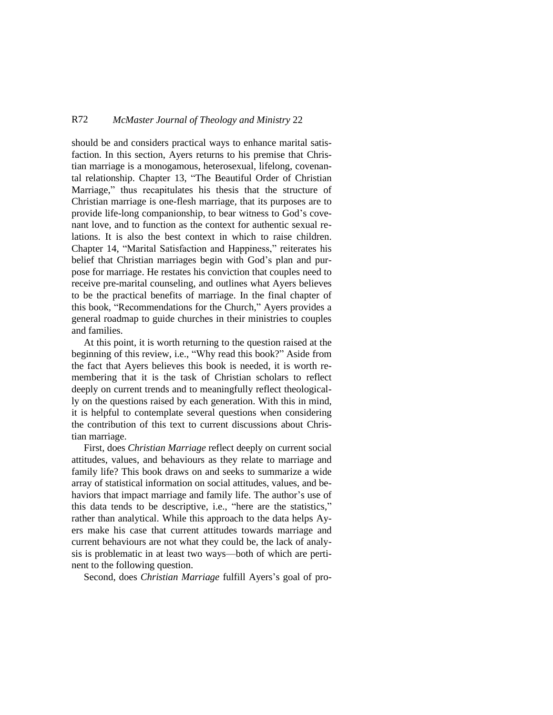## R72 *McMaster Journal of Theology and Ministry* 22

should be and considers practical ways to enhance marital satisfaction. In this section, Ayers returns to his premise that Christian marriage is a monogamous, heterosexual, lifelong, covenantal relationship. Chapter 13, "The Beautiful Order of Christian Marriage," thus recapitulates his thesis that the structure of Christian marriage is one-flesh marriage, that its purposes are to provide life-long companionship, to bear witness to God's covenant love, and to function as the context for authentic sexual relations. It is also the best context in which to raise children. Chapter 14, "Marital Satisfaction and Happiness," reiterates his belief that Christian marriages begin with God's plan and purpose for marriage. He restates his conviction that couples need to receive pre-marital counseling, and outlines what Ayers believes to be the practical benefits of marriage. In the final chapter of this book, "Recommendations for the Church," Ayers provides a general roadmap to guide churches in their ministries to couples and families.

At this point, it is worth returning to the question raised at the beginning of this review, i.e., "Why read this book?" Aside from the fact that Ayers believes this book is needed, it is worth remembering that it is the task of Christian scholars to reflect deeply on current trends and to meaningfully reflect theologically on the questions raised by each generation. With this in mind, it is helpful to contemplate several questions when considering the contribution of this text to current discussions about Christian marriage.

First, does *Christian Marriage* reflect deeply on current social attitudes, values, and behaviours as they relate to marriage and family life? This book draws on and seeks to summarize a wide array of statistical information on social attitudes, values, and behaviors that impact marriage and family life. The author's use of this data tends to be descriptive, i.e., "here are the statistics," rather than analytical. While this approach to the data helps Ayers make his case that current attitudes towards marriage and current behaviours are not what they could be, the lack of analysis is problematic in at least two ways—both of which are pertinent to the following question.

Second, does *Christian Marriage* fulfill Ayers's goal of pro-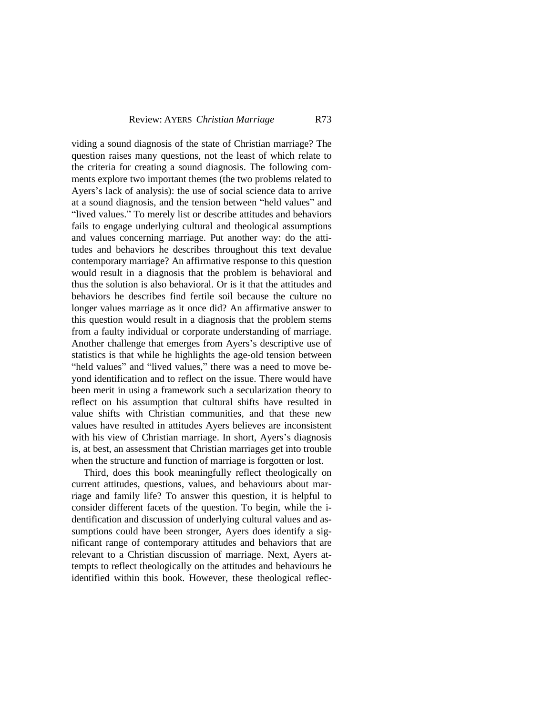## **Review: AYERS** *Christian Marriage* R73

viding a sound diagnosis of the state of Christian marriage? The question raises many questions, not the least of which relate to the criteria for creating a sound diagnosis. The following comments explore two important themes (the two problems related to Ayers's lack of analysis): the use of social science data to arrive at a sound diagnosis, and the tension between "held values" and "lived values." To merely list or describe attitudes and behaviors fails to engage underlying cultural and theological assumptions and values concerning marriage. Put another way: do the attitudes and behaviors he describes throughout this text devalue contemporary marriage? An affirmative response to this question would result in a diagnosis that the problem is behavioral and thus the solution is also behavioral. Or is it that the attitudes and behaviors he describes find fertile soil because the culture no longer values marriage as it once did? An affirmative answer to this question would result in a diagnosis that the problem stems from a faulty individual or corporate understanding of marriage. Another challenge that emerges from Ayers's descriptive use of statistics is that while he highlights the age-old tension between "held values" and "lived values," there was a need to move beyond identification and to reflect on the issue. There would have been merit in using a framework such a secularization theory to reflect on his assumption that cultural shifts have resulted in value shifts with Christian communities, and that these new values have resulted in attitudes Ayers believes are inconsistent with his view of Christian marriage. In short, Ayers's diagnosis is, at best, an assessment that Christian marriages get into trouble when the structure and function of marriage is forgotten or lost.

Third, does this book meaningfully reflect theologically on current attitudes, questions, values, and behaviours about marriage and family life? To answer this question, it is helpful to consider different facets of the question. To begin, while the identification and discussion of underlying cultural values and assumptions could have been stronger, Ayers does identify a significant range of contemporary attitudes and behaviors that are relevant to a Christian discussion of marriage. Next, Ayers attempts to reflect theologically on the attitudes and behaviours he identified within this book. However, these theological reflec-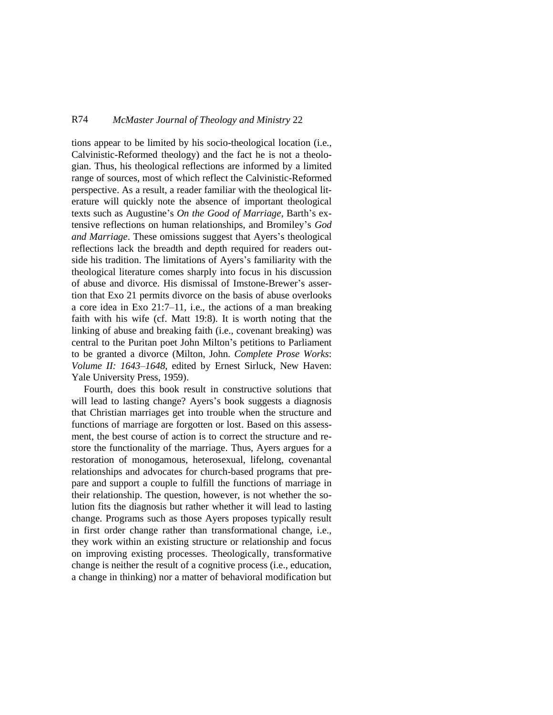## R74 *McMaster Journal of Theology and Ministry* 22

tions appear to be limited by his socio-theological location (i.e., Calvinistic-Reformed theology) and the fact he is not a theologian. Thus, his theological reflections are informed by a limited range of sources, most of which reflect the Calvinistic-Reformed perspective. As a result, a reader familiar with the theological literature will quickly note the absence of important theological texts such as Augustine's *On the Good of Marriage*, Barth's extensive reflections on human relationships, and Bromiley's *God and Marriage*. These omissions suggest that Ayers's theological reflections lack the breadth and depth required for readers outside his tradition. The limitations of Ayers's familiarity with the theological literature comes sharply into focus in his discussion of abuse and divorce. His dismissal of Imstone-Brewer's assertion that Exo 21 permits divorce on the basis of abuse overlooks a core idea in Exo 21:7–11, i.e., the actions of a man breaking faith with his wife (cf. Matt 19:8). It is worth noting that the linking of abuse and breaking faith (i.e., covenant breaking) was central to the Puritan poet John Milton's petitions to Parliament to be granted a divorce (Milton, John. *Complete Prose Works*: *Volume II: 1643–1648*, edited by Ernest Sirluck, New Haven: Yale University Press, 1959).

Fourth, does this book result in constructive solutions that will lead to lasting change? Ayers's book suggests a diagnosis that Christian marriages get into trouble when the structure and functions of marriage are forgotten or lost. Based on this assessment, the best course of action is to correct the structure and restore the functionality of the marriage. Thus, Ayers argues for a restoration of monogamous, heterosexual, lifelong, covenantal relationships and advocates for church-based programs that prepare and support a couple to fulfill the functions of marriage in their relationship. The question, however, is not whether the solution fits the diagnosis but rather whether it will lead to lasting change. Programs such as those Ayers proposes typically result in first order change rather than transformational change, i.e., they work within an existing structure or relationship and focus on improving existing processes. Theologically, transformative change is neither the result of a cognitive process (i.e., education, a change in thinking) nor a matter of behavioral modification but